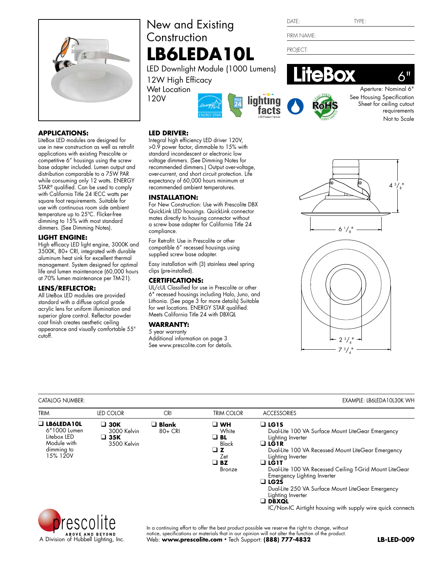

# **APPLICATIONS:**

LiteBox LED modules are designed for use in new construction as well as retrofit applications with existing Prescolite or competitive 6" housings using the screw base adapter included. Lumen output and distribution comparable to a 75W PAR while consuming only 12 watts. ENERGY STAR® qualified. Can be used to comply with California Title 24 IECC watts per square foot requirements. Suitable for use with continuous room side ambient temperature up to 25ºC. Flicker-free dimming to 15% with most standard dimmers. (See Dimming Notes).

# **light engine:**

High efficacy LED light engine, 3000K and 3500K, 80+ CRI, integrated with durable aluminum heat sink for excellent thermal management. System designed for optimal life and lumen maintenance (60,000 hours at 70% lumen maintenance per TM-21).

# **lens/REFLECTOR:**

All LiteBox LED modules are provided standard with a diffuse optical grade acrylic lens for uniform illumination and superior glare control. Reflector powder coat finish creates aesthetic ceiling appearance and visually comfortable 55° cutoff.

# New and Existing **Construction LB6LEDA10L**

Integral high efficiency LED driver 120V, >0.9 power factor, dimmable to 15% with standard incandescent or electronic low voltage dimmers. (See Dimming Notes for recommended dimmers.) Output over-voltage, over-current, and short circuit protection. Life expectancy of 60,000 hours minimum at recommended ambient temperatures.

For New Construction: Use with Prescolite DBX QuickLink LED housings. QuickLink connector mates directly to housing connector without a screw base adapter for California Title 24

Easy installation with (3) stainless steel spring

UL/cUL Classified for use in Prescolite or other 6" recessed housings including Halo, Juno, and Lithonia. (See page 3 for more details) Suitable for wet locations. ENERGY STAR qualified. Meets California Title 24 with DBXQL

For Retrofit: Use in Prescolite or other compatible 6" recessed housings using supplied screw base adapter.

LED Downlight Module (1000 Lumens)

12W High Efficacy Wet Location 120V

**led driver:**

**INSTALLATION:**

compliance.

clips (pre-installed). **certifications:**

**warranty:** 5 year warranty

Additional information on page 3 See www.prescolite.com for details.







Aperture: Nominal 6" See Housing Specification Sheet for ceiling cutout requirements Not to Scale

 $6"$ 

# $6^{1}/_{8}$ "  $4\frac{5}{8}$ "



# Catalog Number: Example: lb6ledA10L30k WH

| <b>TRIM</b>                                                                               | LED COLOR                                            | <b>CRI</b>                  | <b>TRIM COLOR</b>                                                             | <b>ACCESSORIES</b>                                                                                                                                                                                                                                                                                                                                                                                                                                              |
|-------------------------------------------------------------------------------------------|------------------------------------------------------|-----------------------------|-------------------------------------------------------------------------------|-----------------------------------------------------------------------------------------------------------------------------------------------------------------------------------------------------------------------------------------------------------------------------------------------------------------------------------------------------------------------------------------------------------------------------------------------------------------|
| $\Box$ LB6LEDA10L<br>6"1000 Lumen<br>Litebox LED<br>Module with<br>dimming to<br>15% 120V | $\square$ 30K<br>3000 Kelvin<br>□ 35K<br>3500 Kelvin | $\square$ Blank<br>$80+CRI$ | א ∟ ⊔<br>White<br>⊐ BL<br><b>Black</b><br>」Z<br>Zet<br>$\square$ BZ<br>Bronze | $\Box$ LG1S<br>Dual-Lite 100 VA Surface Mount LiteGear Emergency<br>Lighting Inverter<br>$\Box$ LG1R<br>Dual-Lite 100 VA Recessed Mount LiteGear Emergency<br>Lighting Inverter<br>$\Box$ LG1T<br>Dual-Lite 100 VA Recessed Ceiling T-Grid Mount LiteGear<br>Emergency Lighting Inverter<br>$\Box$ LG2S<br>Dual-Lite 250 VA Surface Mount LiteGear Emergency<br>Lighting Inverter<br>$\Box$ DBXQL<br>IC/Non-IC Airtight housing with supply wire quick connects |
| prescolite                                                                                |                                                      |                             |                                                                               | In a continuing effort to offer the best product possible we reserve the right to change, without                                                                                                                                                                                                                                                                                                                                                               |



DATF: TYPE: firm name:

PROJECT: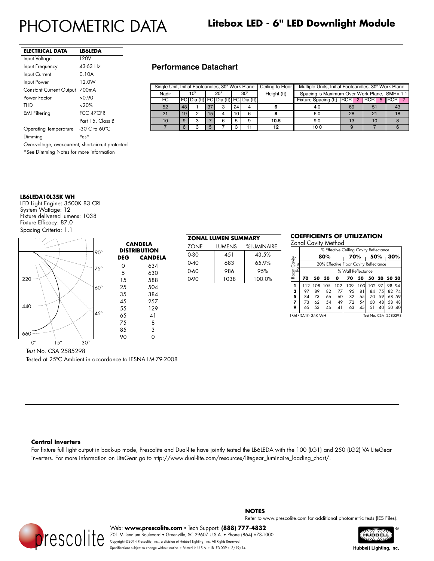| ELECTRICAL DATA                                                     | <b>LB6LEDA</b>   |  |  |  |  |
|---------------------------------------------------------------------|------------------|--|--|--|--|
| Input Voltage                                                       | 120V             |  |  |  |  |
| Input Frequency                                                     | 43-63 Hz         |  |  |  |  |
| Input Current                                                       | 0.10A            |  |  |  |  |
| Input Power                                                         | 12.0W            |  |  |  |  |
| <b>Constant Current Output</b>                                      | 700mA            |  |  |  |  |
| Power Factor                                                        | >0.90            |  |  |  |  |
| THD                                                                 | <20%             |  |  |  |  |
| <b>EMI Filtering</b>                                                | FCC 47CFR        |  |  |  |  |
|                                                                     | Part 15, Class B |  |  |  |  |
| -30 $^{\circ}$ C to 60 $^{\circ}$ C<br><b>Operating Temperature</b> |                  |  |  |  |  |
| Dimming<br>Yes*                                                     |                  |  |  |  |  |
| Over-voltage, over-current, short-circuit protected                 |                  |  |  |  |  |
| *See Dimming Notes for more information                             |                  |  |  |  |  |

# **Performance Datachart**

| Single Unit, Initial Footcandles, 30" Work Plane |    |     |    |                                     |              |    | Ceiling to Floor | Multiple Units, Initial Footcandles, 30" Work Plane |                                              |    |    |
|--------------------------------------------------|----|-----|----|-------------------------------------|--------------|----|------------------|-----------------------------------------------------|----------------------------------------------|----|----|
| Nadir                                            |    | 10° |    | $20^{\circ}$                        | $30^{\circ}$ |    | Height (ft)      |                                                     | Spacing is Maximum Over Work Plane, SMH= 1.1 |    |    |
| FC                                               |    |     |    | FC Dia (ft) FC Dia (ft) FC Dia (ft) |              |    |                  | Fixture Spacing (ft) RCR 2 RCR 5 RCR 7              |                                              |    |    |
| 52                                               | 48 |     | 37 | з                                   | 24           | 4  |                  | 4.0                                                 | 69                                           | 51 | 43 |
| 21                                               | 19 |     | 15 |                                     | 10           | 6  |                  | 6.0                                                 | 28                                           | 21 | 18 |
| 10                                               | 9  | з   |    | 6                                   |              | 9  | 10.5             | 9.0                                                 | 13                                           | 10 |    |
|                                                  | 6  |     | 5  |                                     |              | 11 | 12               | 100                                                 | 9                                            |    |    |

### **LB6LEDA10L35K WH**

LED Light Engine: 3500K 83 CRI System Wattage: 12 Fixture delivered lumens: 1038 Fixture Efficacy: 87.0 Spacing Criteria: 1.1



Test No. CSA 2585298

Tested at 25ºC Ambient in accordance to IESNA LM-79-2008

# **ZONAL LUMEN SUMMARY** ZONE LUMENS %LUMINAIRE 0-30 451 43.5%  $0-40$  683 65.9% 0-60 986 95% 0-90 1038 100.0%

# **COEFFICIENTS OF UTILIZATION**

Zonal Cavity Method

|                                            | % Effective Ceiling Cavity Reflectance   |                                        |      |     |     |      |     |        |             |       |
|--------------------------------------------|------------------------------------------|----------------------------------------|------|-----|-----|------|-----|--------|-------------|-------|
|                                            |                                          |                                        | 80%  |     | 70% |      | 50% |        | 30%         |       |
| Room Cavity<br>Ratio                       |                                          | 20% Effective Floor Cavity Reflectance |      |     |     |      |     |        |             |       |
|                                            | % Wall Reflectance                       |                                        |      |     |     |      |     |        |             |       |
|                                            | 70                                       | 50                                     | -30  | o   | 70  | 30   |     |        | 50 20 50 20 |       |
|                                            | 112                                      | 108                                    | 105  | 102 | 109 | 103  |     | 102 97 | 98 94       |       |
|                                            | 97                                       | 89                                     | 82   | 77  | 95  | 81   | 84  | 75     |             | 82 74 |
| $\begin{array}{c} 3 \\ 5 \\ 7 \end{array}$ | 84                                       | 73                                     | 66   | 60  | 82  | 65 I | 70  | .59    |             | 68 59 |
|                                            | 73                                       | 62                                     | - 54 | 49  | 72  | 54   | 60  | 48     | 58          | 48    |
| 9                                          | 65                                       | 53                                     | 46   | 41  | 63  | 45   | 51  | 40     | 50          | 40    |
|                                            | Test No. CSA 2585298<br>LB6LEDA10L35K WH |                                        |      |     |     |      |     |        |             |       |

## **Central Inverters**

For fixture full light output in back-up mode, Prescolite and Dual-lite have jointly tested the LB6LEDA with the 100 (LG1) and 250 (LG2) VA LiteGear inverters. For more information on LiteGear go to http://www.dual-lite.com/resources/litegear\_luminaire\_loading\_chart/.



**Notes**

Refer to www.prescolite.com for additional photometric tests (IES Files).

Web: **www.prescolite.com** • Tech Support: **(888) 777-4832** 701 Millennium Boulevard • Greenville, SC 29607 U.S.A. • Phone (864) 678-1000 Copyright ©2014 Prescolite, Inc., a division of Hubbell Lighting, Inc. All Rights Reserved Specifications subject to change without notice. • Printed in U.S.A. • LB-LED-009 • 3/19/14



Hubbell Lighting, Inc.